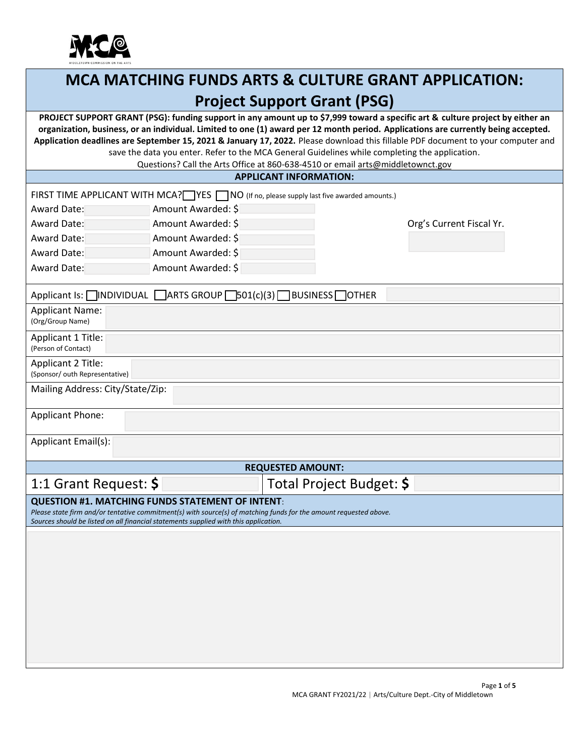

# **MCA MATCHING FUNDS ARTS & CULTURE GRANT APPLICATION: Project Support Grant (PSG)**

**PROJECT SUPPORT GRANT (PSG): funding support in any amount up to \$7,999 toward a specific art & culture project by either an organization, business, or an individual. Limited to one (1) award per 12 month period. Applications are currently being accepted. Application deadlines are September 15, 2021 & January 17, 2022.** Please download this fillable PDF document to your computer and save the data you enter. Refer to the MCA General Guidelines while completing the application.

Questions? Call the Arts Office at 860-638-4510 or email arts@middletownct.gov

#### **APPLICANT INFORMATION:**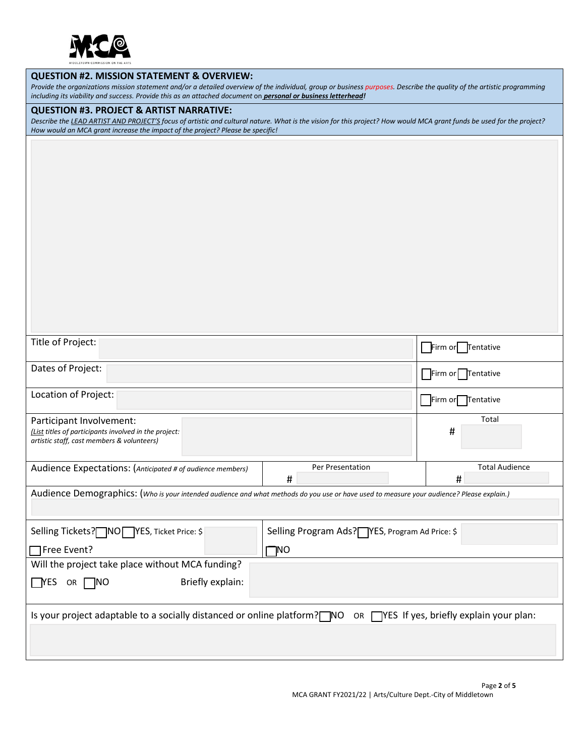

#### **QUESTION #2. MISSION STATEMENT & OVERVIEW:**

*Provide the organizations mission statement and/or a detailed overview of the individual, group or business purposes. Describe the quality of the artistic programming including its viability and success. Provide this as an attached document* on *personal or business letterhead!*

#### **QUESTION #3. PROJECT & ARTIST NARRATIVE:**

*Describe the LEAD ARTIST AND PROJECT'S focus of artistic and cultural nature. What is the vision for this project? How would MCA grant funds be used for the project? How would an MCA grant increase the impact of the project? Please be specific!*

| Title of Project:                                                                                                                         | Firm or   Tentative        |  |  |  |
|-------------------------------------------------------------------------------------------------------------------------------------------|----------------------------|--|--|--|
| Dates of Project:                                                                                                                         | Firm or Tentative          |  |  |  |
| Location of Project:                                                                                                                      | Firm or Tentative          |  |  |  |
| Participant Involvement:<br>(List titles of participants involved in the project:<br>artistic staff, cast members & volunteers)           | Total<br>#                 |  |  |  |
| Per Presentation<br>Audience Expectations: (Anticipated # of audience members)<br>#                                                       | <b>Total Audience</b><br># |  |  |  |
| Audience Demographics: (Who is your intended audience and what methods do you use or have used to measure your audience? Please explain.) |                            |  |  |  |
| Selling Tickets? NO YES, Ticket Price: \$<br>Selling Program Ads? YES, Program Ad Price: \$                                               |                            |  |  |  |
| □Free Event?<br>TNO                                                                                                                       |                            |  |  |  |
| Will the project take place without MCA funding?                                                                                          |                            |  |  |  |
| Briefly explain:<br>$\Box$ YES<br>OR NO                                                                                                   |                            |  |  |  |
| Is your project adaptable to a socially distanced or online platform? NO OR TYES If yes, briefly explain your plan:                       |                            |  |  |  |
|                                                                                                                                           |                            |  |  |  |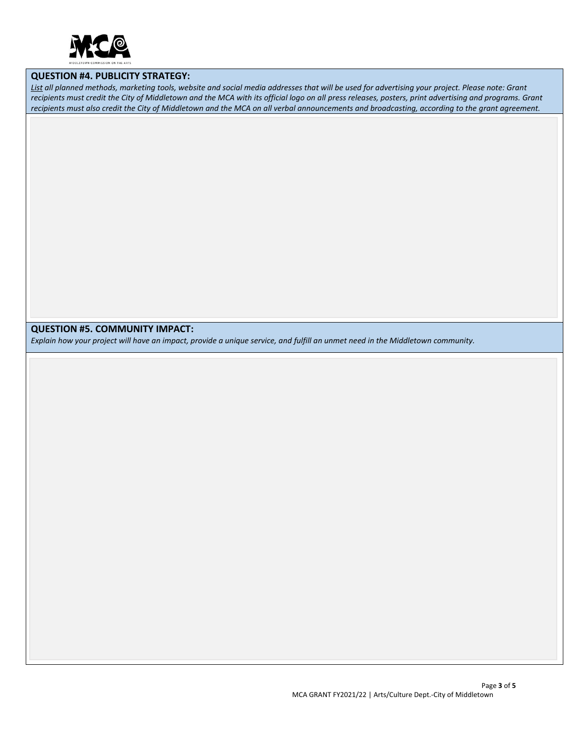

#### **QUESTION #4. PUBLICITY STRATEGY:**

*List all planned methods, marketing tools, website and social media addresses that will be used for advertising your project. Please note: Grant recipients must credit the City of Middletown and the MCA with its official logo on all press releases, posters, print advertising and programs. Grant recipients must also credit the City of Middletown and the MCA on all verbal announcements and broadcasting, according to the grant agreement.*

## **QUESTION #5. COMMUNITY IMPACT:**

*Explain how your project will have an impact, provide a unique service, and fulfill an unmet need in the Middletown community.*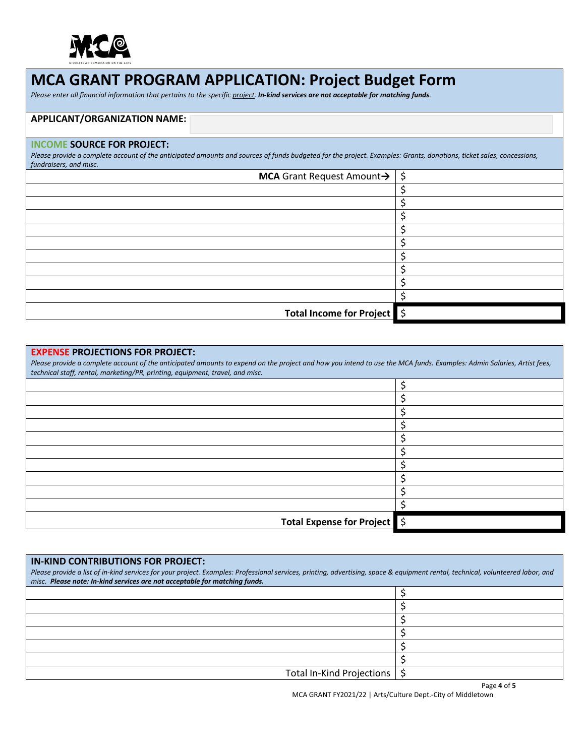

## **MCA GRANT PROGRAM APPLICATION: Project Budget Form**

*Please enter all financial information that pertains to the specific project. In-kind services are not acceptable for matching funds.*

## **APPLICANT/ORGANIZATION NAME:**

#### **INCOME SOURCE FOR PROJECT:**

Please provide a complete account of the anticipated amounts and sources of funds budgeted for the project. Examples: Grants, donations, ticket sales, concessions, *fundraisers, and misc.*

| <b>MCA</b> Grant Request Amount $\rightarrow$ $\mid \xi$ |  |
|----------------------------------------------------------|--|
|                                                          |  |
|                                                          |  |
|                                                          |  |
|                                                          |  |
|                                                          |  |
|                                                          |  |
|                                                          |  |
|                                                          |  |
|                                                          |  |
| Total Income for Project \$                              |  |

## **EXPENSE PROJECTIONS FOR PROJECT:**

*Please provide a complete account of the anticipated amounts to expend on the project and how you intend to use the MCA funds. Examples: Admin Salaries, Artist fees, technical staff, rental, marketing/PR, printing, equipment, travel, and misc.*

| Total Expense for Project 5 |
|-----------------------------|

| <b>IN-KIND CONTRIBUTIONS FOR PROJECT:</b><br>Please provide a list of in-kind services for your project. Examples: Professional services, printing, advertising, space & equipment rental, technical, volunteered labor, and<br>misc. Please note: In-kind services are not acceptable for matching funds. |  |
|------------------------------------------------------------------------------------------------------------------------------------------------------------------------------------------------------------------------------------------------------------------------------------------------------------|--|
|                                                                                                                                                                                                                                                                                                            |  |
|                                                                                                                                                                                                                                                                                                            |  |
|                                                                                                                                                                                                                                                                                                            |  |
|                                                                                                                                                                                                                                                                                                            |  |
|                                                                                                                                                                                                                                                                                                            |  |
|                                                                                                                                                                                                                                                                                                            |  |
| Total In-Kind Projections                                                                                                                                                                                                                                                                                  |  |

MCA GRANT FY2021/22 | Arts/Culture Dept.-City of Middletown

Page **4** of **5**